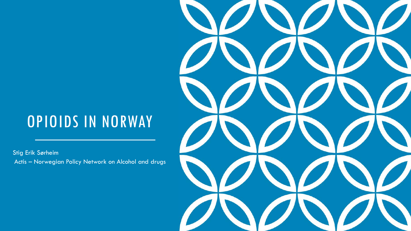### OPIOIDS IN NORWAY

Stig Erik Sørheim Actis – Norwegian Policy Network on Alcohol and drugs

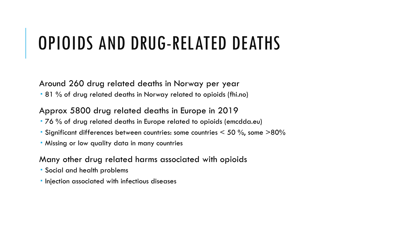# OPIOIDS AND DRUG-RELATED DEATHS

Around 260 drug related deaths in Norway per year

81 % of drug related deaths in Norway related to opioids (fhi.no)

#### Approx 5800 drug related deaths in Europe in 2019

- 76 % of drug related deaths in Europe related to opioids (emcdda.eu)
- Significant differences between countries: some countries  $<$  50 %, some  $>$ 80%
- Missing or low quality data in many countries

#### Many other drug related harms associated with opioids

- Social and health problems
- **Injection associated with infectious diseases**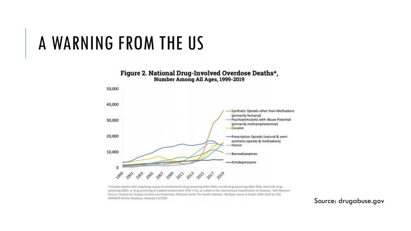### A WARNING FROM THE US



\*Includes deaths with underlying causes of unintentional drug poisoning (X40-X44), suicide drug poisoning (X60-X64), homicide drug poisoning (K85), or drug poisoning of undetermined intent (Y10-Y14), as coded in the International Classification of Diseases, 10th Revision. Source: Centers for Disease Control and Prevention, National Center for Health Statistics. Multiple Cause of Death 1999-2019 on CDC WONDER Online Database, released 12/2020

Source: drugabuse.gov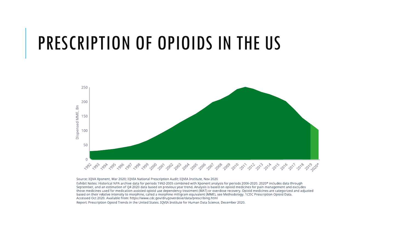# PRESCRIPTION OF OPIOIDS IN THE US



Source: IQVA Xponent, Mar 2020; IQVIA National Prescription Audit; IQVIA Institute, Nov 2020

Exhibit Notes: Historical NPA archive data for periods 1992-2005 combined with Xponent analysis for periods 2006-2020. 2020\* includes data through September, and an estimation of Q4 2020 data based on previous year trend. Analysis is based on opioid medicines for pain management and excludes those medicines used for medication-assisted opioid use dependency treatment (MAT) or overdose recovery. Opioid medicines are categorized and adjusted based on their relative intensity to morphine, called a morphine milligram equivalent (MME), see Methodology. 1CDC Prescription Opioid Data. Accessed Oct 2020. Available from: https://www.cdc.gov/drugoverdose/data/prescribing.html

Report: Prescription Opioid Trends in the United States, IOVIA Institute for Human Data Science, December 2020,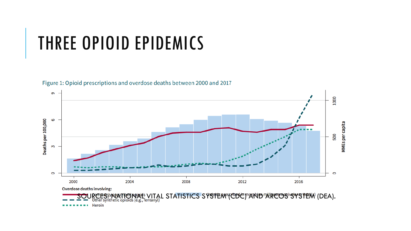# THREE OPIOID EPIDEMICS



Figure 1: Opioid prescriptions and overdose deaths between 2000 and 2017

Heroin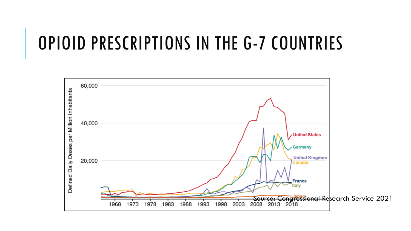# OPIOID PRESCRIPTIONS IN THE G-7 COUNTRIES

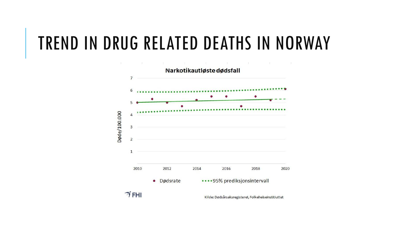## TREND IN DRUG RELATED DEATHS IN NORWAY

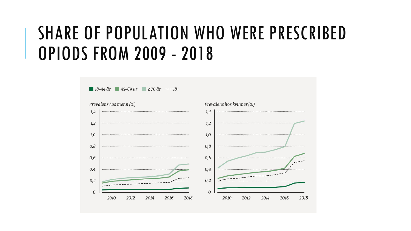# SHARE OF POPULATION WHO WERE PRESCRIBED OPIODS FROM 2009 - 2018

 $18-44$  år  $45-69$  år  $\geq 70$  år --- 18+

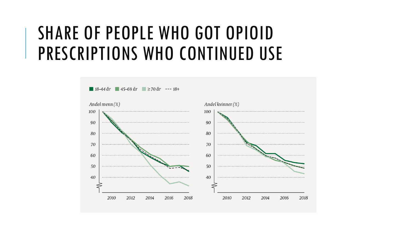# SHARE OF PEOPLE WHO GOT OPIOID PRESCRIPTIONS WHO CONTINUED USE

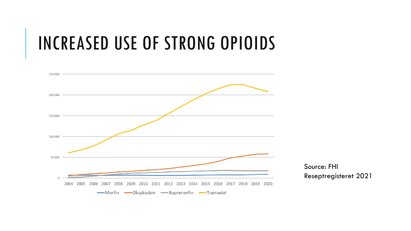# INCREASED USE OF STRONG OPIOIDS

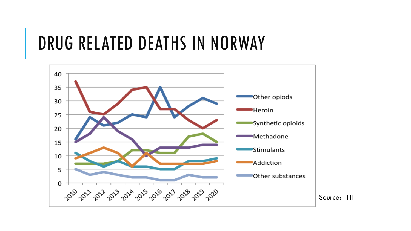# DRUG RELATED DEATHS IN NORWAY